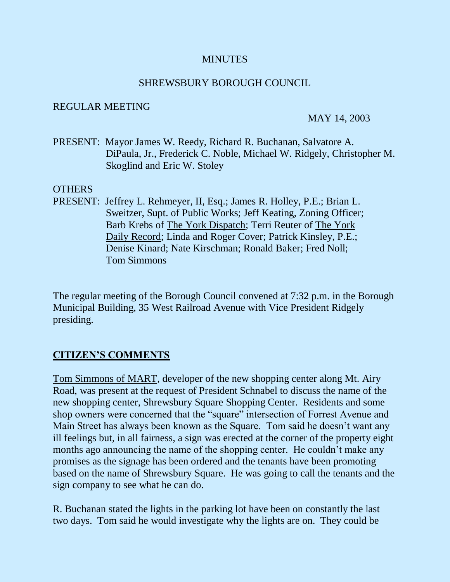### **MINUTES**

#### SHREWSBURY BOROUGH COUNCIL

#### REGULAR MEETING

#### MAY 14, 2003

PRESENT: Mayor James W. Reedy, Richard R. Buchanan, Salvatore A. DiPaula, Jr., Frederick C. Noble, Michael W. Ridgely, Christopher M. Skoglind and Eric W. Stoley

#### **OTHERS**

PRESENT: Jeffrey L. Rehmeyer, II, Esq.; James R. Holley, P.E.; Brian L. Sweitzer, Supt. of Public Works; Jeff Keating, Zoning Officer; Barb Krebs of The York Dispatch; Terri Reuter of The York Daily Record; Linda and Roger Cover; Patrick Kinsley, P.E.; Denise Kinard; Nate Kirschman; Ronald Baker; Fred Noll; Tom Simmons

The regular meeting of the Borough Council convened at 7:32 p.m. in the Borough Municipal Building, 35 West Railroad Avenue with Vice President Ridgely presiding.

## **CITIZEN'S COMMENTS**

Tom Simmons of MART, developer of the new shopping center along Mt. Airy Road, was present at the request of President Schnabel to discuss the name of the new shopping center, Shrewsbury Square Shopping Center. Residents and some shop owners were concerned that the "square" intersection of Forrest Avenue and Main Street has always been known as the Square. Tom said he doesn't want any ill feelings but, in all fairness, a sign was erected at the corner of the property eight months ago announcing the name of the shopping center. He couldn't make any promises as the signage has been ordered and the tenants have been promoting based on the name of Shrewsbury Square. He was going to call the tenants and the sign company to see what he can do.

R. Buchanan stated the lights in the parking lot have been on constantly the last two days. Tom said he would investigate why the lights are on. They could be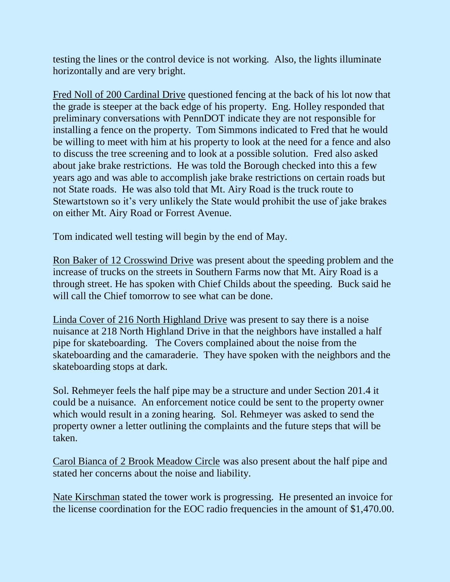testing the lines or the control device is not working. Also, the lights illuminate horizontally and are very bright.

Fred Noll of 200 Cardinal Drive questioned fencing at the back of his lot now that the grade is steeper at the back edge of his property. Eng. Holley responded that preliminary conversations with PennDOT indicate they are not responsible for installing a fence on the property. Tom Simmons indicated to Fred that he would be willing to meet with him at his property to look at the need for a fence and also to discuss the tree screening and to look at a possible solution. Fred also asked about jake brake restrictions. He was told the Borough checked into this a few years ago and was able to accomplish jake brake restrictions on certain roads but not State roads. He was also told that Mt. Airy Road is the truck route to Stewartstown so it's very unlikely the State would prohibit the use of jake brakes on either Mt. Airy Road or Forrest Avenue.

Tom indicated well testing will begin by the end of May.

Ron Baker of 12 Crosswind Drive was present about the speeding problem and the increase of trucks on the streets in Southern Farms now that Mt. Airy Road is a through street. He has spoken with Chief Childs about the speeding. Buck said he will call the Chief tomorrow to see what can be done.

Linda Cover of 216 North Highland Drive was present to say there is a noise nuisance at 218 North Highland Drive in that the neighbors have installed a half pipe for skateboarding. The Covers complained about the noise from the skateboarding and the camaraderie. They have spoken with the neighbors and the skateboarding stops at dark.

Sol. Rehmeyer feels the half pipe may be a structure and under Section 201.4 it could be a nuisance. An enforcement notice could be sent to the property owner which would result in a zoning hearing. Sol. Rehmeyer was asked to send the property owner a letter outlining the complaints and the future steps that will be taken.

Carol Bianca of 2 Brook Meadow Circle was also present about the half pipe and stated her concerns about the noise and liability.

Nate Kirschman stated the tower work is progressing. He presented an invoice for the license coordination for the EOC radio frequencies in the amount of \$1,470.00.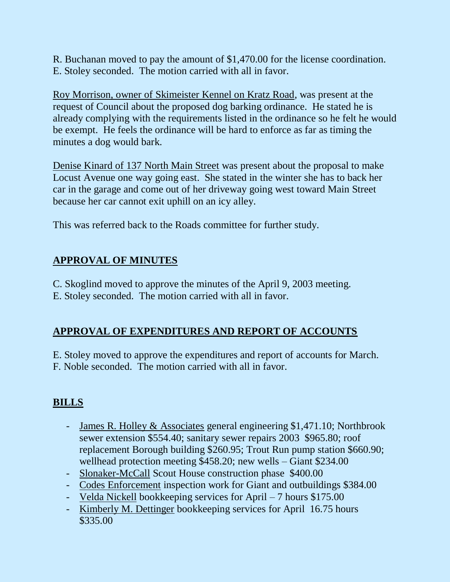R. Buchanan moved to pay the amount of \$1,470.00 for the license coordination. E. Stoley seconded. The motion carried with all in favor.

Roy Morrison, owner of Skimeister Kennel on Kratz Road, was present at the request of Council about the proposed dog barking ordinance. He stated he is already complying with the requirements listed in the ordinance so he felt he would be exempt. He feels the ordinance will be hard to enforce as far as timing the minutes a dog would bark.

Denise Kinard of 137 North Main Street was present about the proposal to make Locust Avenue one way going east. She stated in the winter she has to back her car in the garage and come out of her driveway going west toward Main Street because her car cannot exit uphill on an icy alley.

This was referred back to the Roads committee for further study.

# **APPROVAL OF MINUTES**

C. Skoglind moved to approve the minutes of the April 9, 2003 meeting. E. Stoley seconded. The motion carried with all in favor.

# **APPROVAL OF EXPENDITURES AND REPORT OF ACCOUNTS**

E. Stoley moved to approve the expenditures and report of accounts for March. F. Noble seconded. The motion carried with all in favor.

# **BILLS**

- James R. Holley & Associates general engineering \$1,471.10; Northbrook sewer extension \$554.40; sanitary sewer repairs 2003 \$965.80; roof replacement Borough building \$260.95; Trout Run pump station \$660.90; wellhead protection meeting \$458.20; new wells – Giant \$234.00
- Slonaker-McCall Scout House construction phase \$400.00
- Codes Enforcement inspection work for Giant and outbuildings \$384.00
- Velda Nickell bookkeeping services for April 7 hours \$175.00
- Kimberly M. Dettinger bookkeeping services for April 16.75 hours \$335.00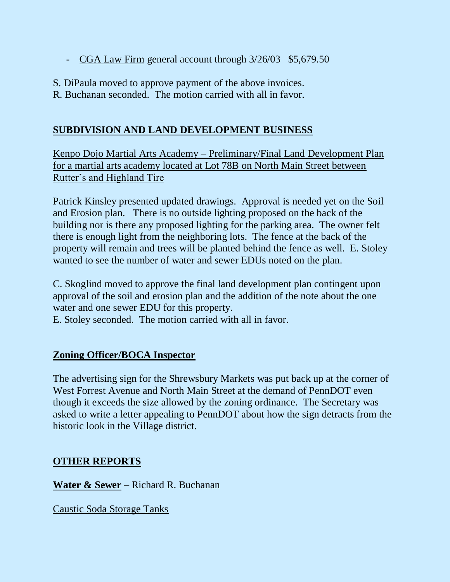- CGA Law Firm general account through  $3/26/03$  \$5,679.50
- S. DiPaula moved to approve payment of the above invoices.
- R. Buchanan seconded. The motion carried with all in favor.

## **SUBDIVISION AND LAND DEVELOPMENT BUSINESS**

Kenpo Dojo Martial Arts Academy – Preliminary/Final Land Development Plan for a martial arts academy located at Lot 78B on North Main Street between Rutter's and Highland Tire

Patrick Kinsley presented updated drawings. Approval is needed yet on the Soil and Erosion plan. There is no outside lighting proposed on the back of the building nor is there any proposed lighting for the parking area. The owner felt there is enough light from the neighboring lots. The fence at the back of the property will remain and trees will be planted behind the fence as well. E. Stoley wanted to see the number of water and sewer EDUs noted on the plan.

C. Skoglind moved to approve the final land development plan contingent upon approval of the soil and erosion plan and the addition of the note about the one water and one sewer EDU for this property.

E. Stoley seconded. The motion carried with all in favor.

## **Zoning Officer/BOCA Inspector**

The advertising sign for the Shrewsbury Markets was put back up at the corner of West Forrest Avenue and North Main Street at the demand of PennDOT even though it exceeds the size allowed by the zoning ordinance. The Secretary was asked to write a letter appealing to PennDOT about how the sign detracts from the historic look in the Village district.

## **OTHER REPORTS**

**Water & Sewer** – Richard R. Buchanan

Caustic Soda Storage Tanks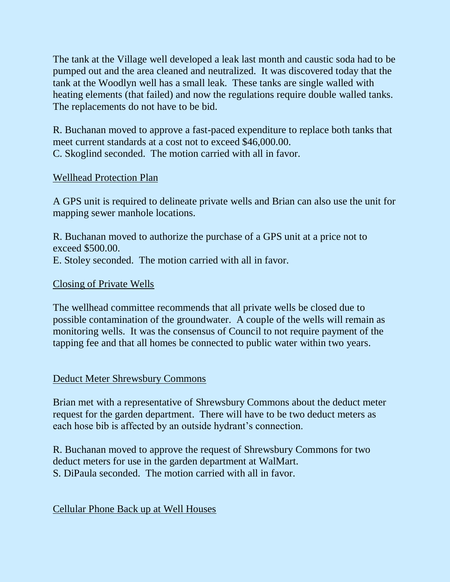The tank at the Village well developed a leak last month and caustic soda had to be pumped out and the area cleaned and neutralized. It was discovered today that the tank at the Woodlyn well has a small leak. These tanks are single walled with heating elements (that failed) and now the regulations require double walled tanks. The replacements do not have to be bid.

R. Buchanan moved to approve a fast-paced expenditure to replace both tanks that meet current standards at a cost not to exceed \$46,000.00. C. Skoglind seconded. The motion carried with all in favor.

### Wellhead Protection Plan

A GPS unit is required to delineate private wells and Brian can also use the unit for mapping sewer manhole locations.

R. Buchanan moved to authorize the purchase of a GPS unit at a price not to exceed \$500.00. E. Stoley seconded. The motion carried with all in favor.

#### Closing of Private Wells

The wellhead committee recommends that all private wells be closed due to possible contamination of the groundwater. A couple of the wells will remain as monitoring wells. It was the consensus of Council to not require payment of the tapping fee and that all homes be connected to public water within two years.

#### Deduct Meter Shrewsbury Commons

Brian met with a representative of Shrewsbury Commons about the deduct meter request for the garden department. There will have to be two deduct meters as each hose bib is affected by an outside hydrant's connection.

R. Buchanan moved to approve the request of Shrewsbury Commons for two deduct meters for use in the garden department at WalMart. S. DiPaula seconded. The motion carried with all in favor.

### Cellular Phone Back up at Well Houses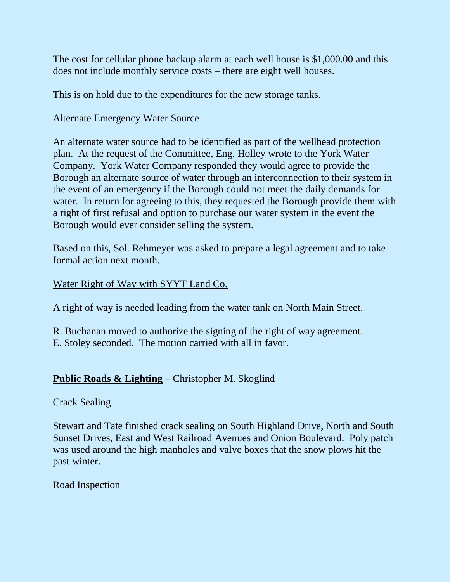The cost for cellular phone backup alarm at each well house is \$1,000.00 and this does not include monthly service costs – there are eight well houses.

This is on hold due to the expenditures for the new storage tanks.

## Alternate Emergency Water Source

An alternate water source had to be identified as part of the wellhead protection plan. At the request of the Committee, Eng. Holley wrote to the York Water Company. York Water Company responded they would agree to provide the Borough an alternate source of water through an interconnection to their system in the event of an emergency if the Borough could not meet the daily demands for water. In return for agreeing to this, they requested the Borough provide them with a right of first refusal and option to purchase our water system in the event the Borough would ever consider selling the system.

Based on this, Sol. Rehmeyer was asked to prepare a legal agreement and to take formal action next month.

### Water Right of Way with SYYT Land Co.

A right of way is needed leading from the water tank on North Main Street.

R. Buchanan moved to authorize the signing of the right of way agreement. E. Stoley seconded. The motion carried with all in favor.

## **Public Roads & Lighting** – Christopher M. Skoglind

### Crack Sealing

Stewart and Tate finished crack sealing on South Highland Drive, North and South Sunset Drives, East and West Railroad Avenues and Onion Boulevard. Poly patch was used around the high manholes and valve boxes that the snow plows hit the past winter.

### Road Inspection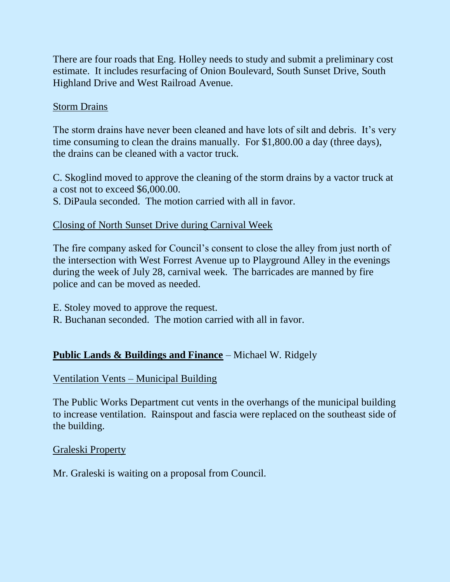There are four roads that Eng. Holley needs to study and submit a preliminary cost estimate. It includes resurfacing of Onion Boulevard, South Sunset Drive, South Highland Drive and West Railroad Avenue.

### Storm Drains

The storm drains have never been cleaned and have lots of silt and debris. It's very time consuming to clean the drains manually. For \$1,800.00 a day (three days), the drains can be cleaned with a vactor truck.

C. Skoglind moved to approve the cleaning of the storm drains by a vactor truck at a cost not to exceed \$6,000.00.

S. DiPaula seconded. The motion carried with all in favor.

## Closing of North Sunset Drive during Carnival Week

The fire company asked for Council's consent to close the alley from just north of the intersection with West Forrest Avenue up to Playground Alley in the evenings during the week of July 28, carnival week. The barricades are manned by fire police and can be moved as needed.

E. Stoley moved to approve the request.

R. Buchanan seconded. The motion carried with all in favor.

## **Public Lands & Buildings and Finance** – Michael W. Ridgely

### Ventilation Vents – Municipal Building

The Public Works Department cut vents in the overhangs of the municipal building to increase ventilation. Rainspout and fascia were replaced on the southeast side of the building.

### Graleski Property

Mr. Graleski is waiting on a proposal from Council.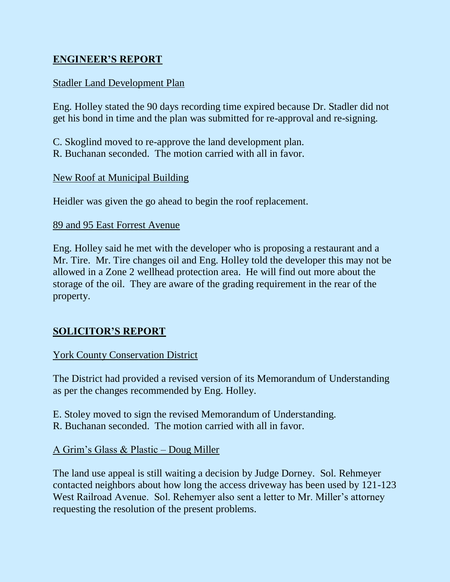## **ENGINEER'S REPORT**

## Stadler Land Development Plan

Eng. Holley stated the 90 days recording time expired because Dr. Stadler did not get his bond in time and the plan was submitted for re-approval and re-signing.

C. Skoglind moved to re-approve the land development plan. R. Buchanan seconded. The motion carried with all in favor.

### New Roof at Municipal Building

Heidler was given the go ahead to begin the roof replacement.

#### 89 and 95 East Forrest Avenue

Eng. Holley said he met with the developer who is proposing a restaurant and a Mr. Tire. Mr. Tire changes oil and Eng. Holley told the developer this may not be allowed in a Zone 2 wellhead protection area. He will find out more about the storage of the oil. They are aware of the grading requirement in the rear of the property.

## **SOLICITOR'S REPORT**

### York County Conservation District

The District had provided a revised version of its Memorandum of Understanding as per the changes recommended by Eng. Holley.

- E. Stoley moved to sign the revised Memorandum of Understanding.
- R. Buchanan seconded. The motion carried with all in favor.

### A Grim's Glass & Plastic – Doug Miller

The land use appeal is still waiting a decision by Judge Dorney. Sol. Rehmeyer contacted neighbors about how long the access driveway has been used by 121-123 West Railroad Avenue. Sol. Rehemyer also sent a letter to Mr. Miller's attorney requesting the resolution of the present problems.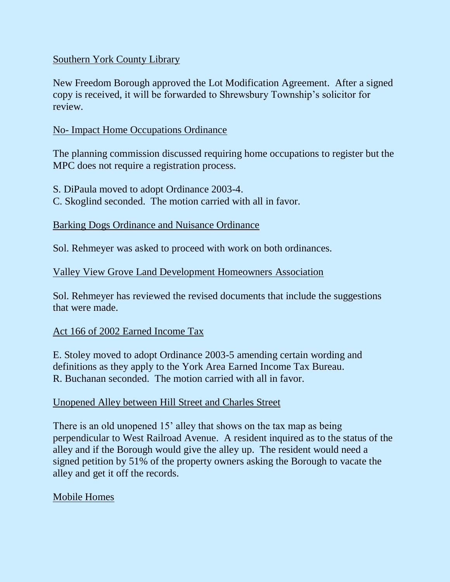### Southern York County Library

New Freedom Borough approved the Lot Modification Agreement. After a signed copy is received, it will be forwarded to Shrewsbury Township's solicitor for review.

### No- Impact Home Occupations Ordinance

The planning commission discussed requiring home occupations to register but the MPC does not require a registration process.

S. DiPaula moved to adopt Ordinance 2003-4.

C. Skoglind seconded. The motion carried with all in favor.

#### Barking Dogs Ordinance and Nuisance Ordinance

Sol. Rehmeyer was asked to proceed with work on both ordinances.

#### Valley View Grove Land Development Homeowners Association

Sol. Rehmeyer has reviewed the revised documents that include the suggestions that were made.

### Act 166 of 2002 Earned Income Tax

E. Stoley moved to adopt Ordinance 2003-5 amending certain wording and definitions as they apply to the York Area Earned Income Tax Bureau. R. Buchanan seconded. The motion carried with all in favor.

### Unopened Alley between Hill Street and Charles Street

There is an old unopened 15' alley that shows on the tax map as being perpendicular to West Railroad Avenue. A resident inquired as to the status of the alley and if the Borough would give the alley up. The resident would need a signed petition by 51% of the property owners asking the Borough to vacate the alley and get it off the records.

### Mobile Homes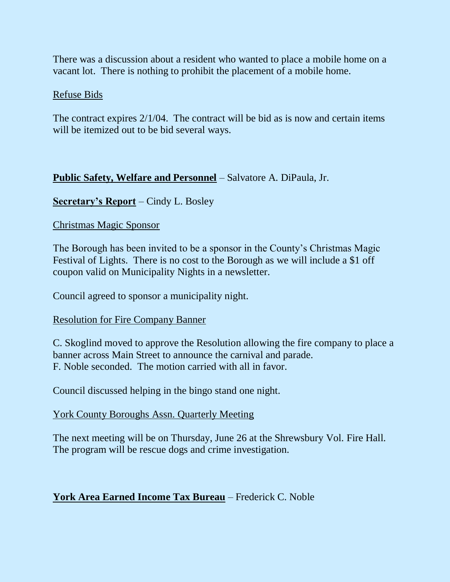There was a discussion about a resident who wanted to place a mobile home on a vacant lot. There is nothing to prohibit the placement of a mobile home.

#### Refuse Bids

The contract expires 2/1/04. The contract will be bid as is now and certain items will be itemized out to be bid several ways.

### **Public Safety, Welfare and Personnel** – Salvatore A. DiPaula, Jr.

### **Secretary's Report** – Cindy L. Bosley

### Christmas Magic Sponsor

The Borough has been invited to be a sponsor in the County's Christmas Magic Festival of Lights. There is no cost to the Borough as we will include a \$1 off coupon valid on Municipality Nights in a newsletter.

Council agreed to sponsor a municipality night.

#### Resolution for Fire Company Banner

C. Skoglind moved to approve the Resolution allowing the fire company to place a banner across Main Street to announce the carnival and parade. F. Noble seconded. The motion carried with all in favor.

Council discussed helping in the bingo stand one night.

### York County Boroughs Assn. Quarterly Meeting

The next meeting will be on Thursday, June 26 at the Shrewsbury Vol. Fire Hall. The program will be rescue dogs and crime investigation.

### **York Area Earned Income Tax Bureau** – Frederick C. Noble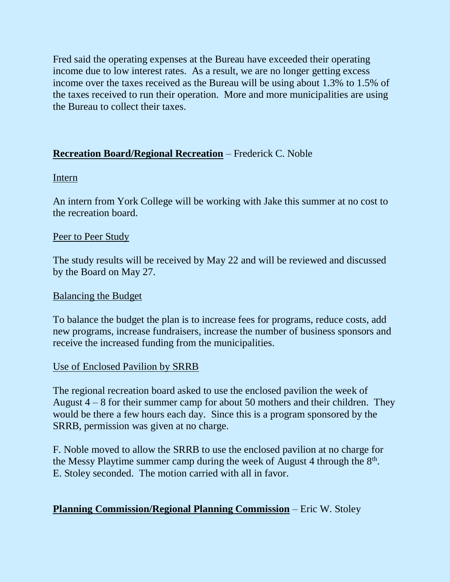Fred said the operating expenses at the Bureau have exceeded their operating income due to low interest rates. As a result, we are no longer getting excess income over the taxes received as the Bureau will be using about 1.3% to 1.5% of the taxes received to run their operation. More and more municipalities are using the Bureau to collect their taxes.

## **Recreation Board/Regional Recreation** – Frederick C. Noble

#### Intern

An intern from York College will be working with Jake this summer at no cost to the recreation board.

#### Peer to Peer Study

The study results will be received by May 22 and will be reviewed and discussed by the Board on May 27.

#### Balancing the Budget

To balance the budget the plan is to increase fees for programs, reduce costs, add new programs, increase fundraisers, increase the number of business sponsors and receive the increased funding from the municipalities.

### Use of Enclosed Pavilion by **SRRB**

The regional recreation board asked to use the enclosed pavilion the week of August  $4 - 8$  for their summer camp for about 50 mothers and their children. They would be there a few hours each day. Since this is a program sponsored by the SRRB, permission was given at no charge.

F. Noble moved to allow the SRRB to use the enclosed pavilion at no charge for the Messy Playtime summer camp during the week of August 4 through the  $8<sup>th</sup>$ . E. Stoley seconded. The motion carried with all in favor.

## **Planning Commission/Regional Planning Commission** – Eric W. Stoley